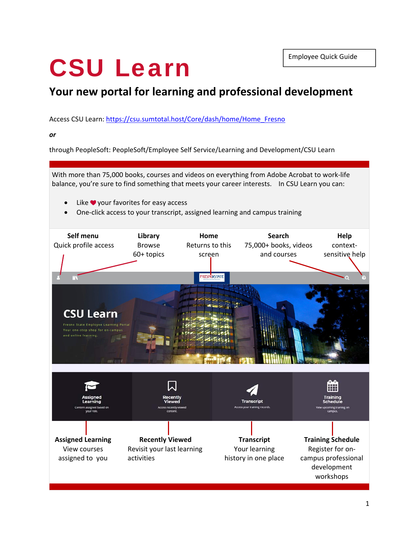# CSU Learn

# **Your new portal for learning and professional development**

Access CSU Learn: https://csu.sumtotal.host/Core/dash/home/Home Fresno

*or*

through PeopleSoft: PeopleSoft/Employee Self Service/Learning and Development/CSU Learn

With more than 75,000 books, courses and videos on everything from Adobe Acrobat to work‐life balance, you're sure to find something that meets your career interests. In CSU Learn you can:

- Like  $\blacktriangledown$  your favorites for easy access
- One‐click access to your transcript, assigned learning and campus training

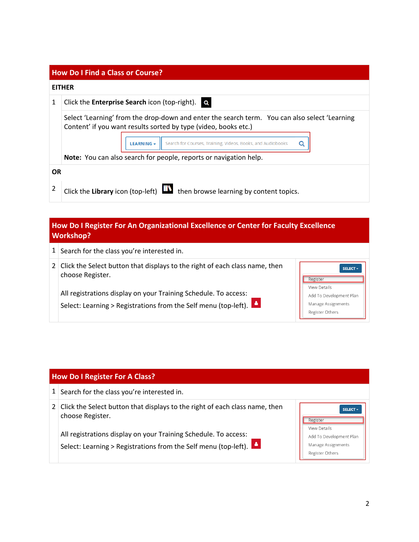| <b>How Do I Find a Class or Course?</b> |                                                                                                                                                                                                                                                    |  |  |  |
|-----------------------------------------|----------------------------------------------------------------------------------------------------------------------------------------------------------------------------------------------------------------------------------------------------|--|--|--|
| <b>EITHER</b>                           |                                                                                                                                                                                                                                                    |  |  |  |
| 1                                       | Click the <b>Enterprise Search</b> icon (top-right). $\blacksquare$                                                                                                                                                                                |  |  |  |
|                                         | Select 'Learning' from the drop-down and enter the search term. You can also select 'Learning<br>Content' if you want results sorted by type (video, books etc.)<br>Search for Courses, Training, Videos, Books, and Audiobooks<br>LEARNING -<br>O |  |  |  |
|                                         | Note: You can also search for people, reports or navigation help.                                                                                                                                                                                  |  |  |  |
| <b>OR</b>                               |                                                                                                                                                                                                                                                    |  |  |  |
| 2                                       | then browse learning by content topics.<br>Click the Library icon (top-left) $\Box$                                                                                                                                                                |  |  |  |

## **How Do I Register For An Organizational Excellence or Center for Faculty Excellence Workshop?**

| 1 <sup>1</sup> | Search for the class you're interested in.                                                                                         |                                                                                         |
|----------------|------------------------------------------------------------------------------------------------------------------------------------|-----------------------------------------------------------------------------------------|
| 2 <sup>1</sup> | Click the Select button that displays to the right of each class name, then<br>choose Register.                                    | SELECT +<br>Register                                                                    |
|                | All registrations display on your Training Schedule. To access:<br>Select: Learning > Registrations from the Self menu (top-left). | <b>View Details</b><br>Add To Development Plan<br>Manage Assignments<br>Register Others |

|                | <b>How Do I Register For A Class?</b>                                                                                              |                                                                  |  |  |  |
|----------------|------------------------------------------------------------------------------------------------------------------------------------|------------------------------------------------------------------|--|--|--|
| 1 <sup>1</sup> | Search for the class you're interested in.                                                                                         |                                                                  |  |  |  |
| 2 <sup>1</sup> | Click the Select button that displays to the right of each class name, then<br>choose Register.                                    | <b>SELECT -</b><br>Register<br><b>View Details</b>               |  |  |  |
|                | All registrations display on your Training Schedule. To access:<br>Select: Learning > Registrations from the Self menu (top-left). | Add To Development Plan<br>Manage Assignments<br>Register Others |  |  |  |